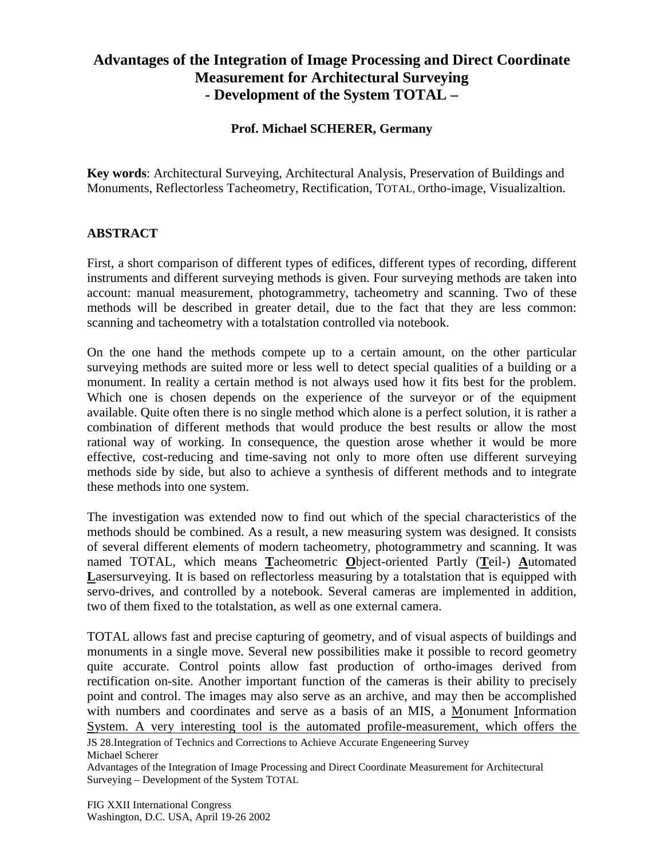## **Advantages of the Integration of Image Processing and Direct Coordinate Measurement for Architectural Surveying - Development of the System TOTAL –**

## **Prof. Michael SCHERER, Germany**

**Key words**: Architectural Surveying, Architectural Analysis, Preservation of Buildings and Monuments, Reflectorless Tacheometry, Rectification, TOTAL, Ortho-image, Visualizaltion.

## **ABSTRACT**

First, a short comparison of different types of edifices, different types of recording, different instruments and different surveying methods is given. Four surveying methods are taken into account: manual measurement, photogrammetry, tacheometry and scanning. Two of these methods will be described in greater detail, due to the fact that they are less common: scanning and tacheometry with a totalstation controlled via notebook.

On the one hand the methods compete up to a certain amount, on the other particular surveying methods are suited more or less well to detect special qualities of a building or a monument. In reality a certain method is not always used how it fits best for the problem. Which one is chosen depends on the experience of the surveyor or of the equipment available. Quite often there is no single method which alone is a perfect solution, it is rather a combination of different methods that would produce the best results or allow the most rational way of working. In consequence, the question arose whether it would be more effective, cost-reducing and time-saving not only to more often use different surveying methods side by side, but also to achieve a synthesis of different methods and to integrate these methods into one system.

The investigation was extended now to find out which of the special characteristics of the methods should be combined. As a result, a new measuring system was designed. It consists of several different elements of modern tacheometry, photogrammetry and scanning. It was named TOTAL, which means **T**acheometric **O**bject-oriented Partly (**T**eil-) **A**utomated Lasersurveying. It is based on reflectorless measuring by a total station that is equipped with servo-drives, and controlled by a notebook. Several cameras are implemented in addition, two of them fixed to the totalstation, as well as one external camera.

TOTAL allows fast and precise capturing of geometry, and of visual aspects of buildings and monuments in a single move. Several new possibilities make it possible to record geometry quite accurate. Control points allow fast production of ortho-images derived from rectification on-site. Another important function of the cameras is their ability to precisely point and control. The images may also serve as an archive, and may then be accomplished with numbers and coordinates and serve as a basis of an MIS, a Monument Information System. A very interesting tool is the automated profile-measurement, which offers the

JS 28.Integration of Technics and Corrections to Achieve Accurate Engeneering Survey Michael Scherer

Advantages of the Integration of Image Processing and Direct Coordinate Measurement for Architectural Surveying – Development of the System TOTAL